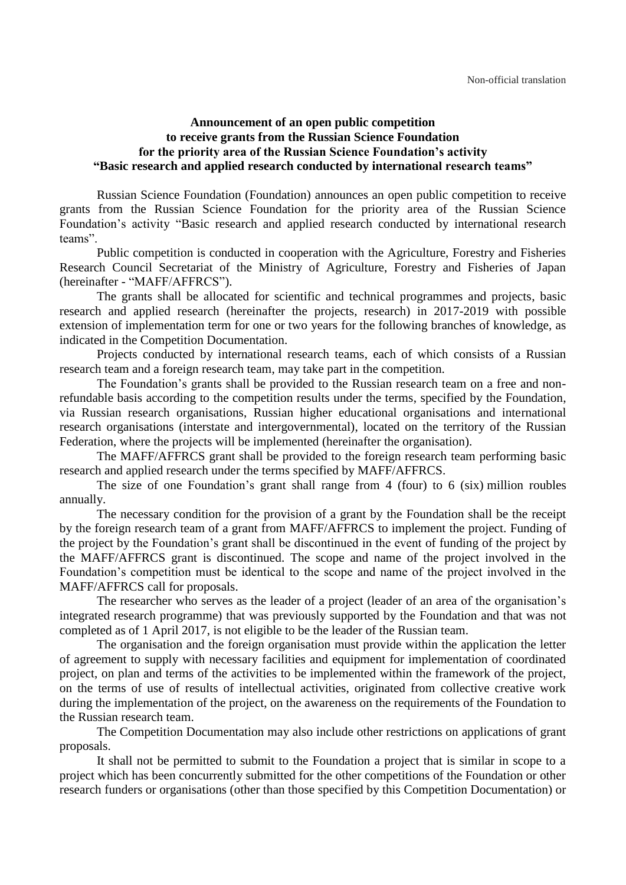## **Announcement of an open public competition to receive grants from the Russian Science Foundation for the priority area of the Russian Science Foundation's activity "Basic research and applied research conducted by international research teams"**

Russian Science Foundation (Foundation) announces an open public competition to receive grants from the Russian Science Foundation for the priority area of the Russian Science Foundation's activity "Basic research and applied research conducted by international research teams".

Public competition is conducted in cooperation with the Agriculture, Forestry and Fisheries Research Council Secretariat of the Ministry of Agriculture, Forestry and Fisheries of Japan (hereinafter - "MAFF/AFFRCS").

The grants shall be allocated for scientific and technical programmes and projects, basic research and applied research (hereinafter the projects, research) in 2017-2019 with possible extension of implementation term for one or two years for the following branches of knowledge, as indicated in the Competition Documentation.

Projects conducted by international research teams, each of which consists of a Russian research team and a foreign research team, may take part in the competition.

The Foundation's grants shall be provided to the Russian research team on a free and nonrefundable basis according to the competition results under the terms, specified by the Foundation, via Russian research organisations, Russian higher educational organisations and international research organisations (interstate and intergovernmental), located on the territory of the Russian Federation, where the projects will be implemented (hereinafter the organisation).

The MAFF/AFFRCS grant shall be provided to the foreign research team performing basic research and applied research under the terms specified by MAFF/AFFRCS.

The size of one Foundation's grant shall range from 4 (four) to 6 (six) million roubles annually.

The necessary condition for the provision of a grant by the Foundation shall be the receipt by the foreign research team of a grant from MAFF/AFFRCS to implement the project. Funding of the project by the Foundation's grant shall be discontinued in the event of funding of the project by the MAFF/AFFRCS grant is discontinued. The scope and name of the project involved in the Foundation's competition must be identical to the scope and name of the project involved in the MAFF/AFFRCS call for proposals.

The researcher who serves as the leader of a project (leader of an area of the organisation's integrated research programme) that was previously supported by the Foundation and that was not completed as of 1 April 2017, is not eligible to be the leader of the Russian team.

The organisation and the foreign organisation must provide within the application the letter of agreement to supply with necessary facilities and equipment for implementation of coordinated project, on plan and terms of the activities to be implemented within the framework of the project, on the terms of use of results of intellectual activities, originated from collective creative work during the implementation of the project, on the awareness on the requirements of the Foundation to the Russian research team.

The Competition Documentation may also include other restrictions on applications of grant proposals.

It shall not be permitted to submit to the Foundation a project that is similar in scope to a project which has been concurrently submitted for the other competitions of the Foundation or other research funders or organisations (other than those specified by this Competition Documentation) or